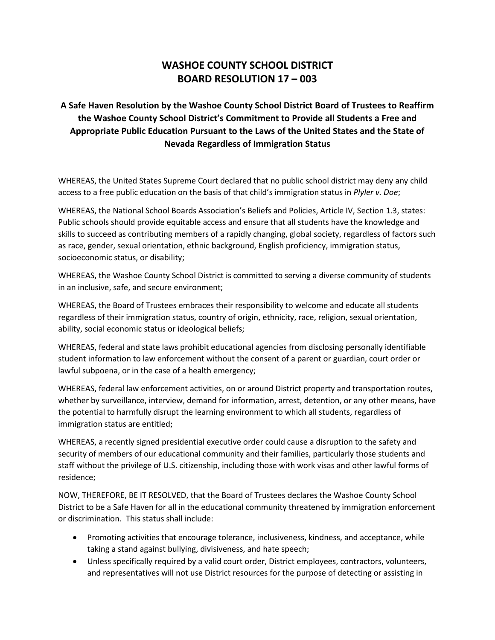## **WASHOE COUNTY SCHOOL DISTRICT BOARD RESOLUTION 17 – 003**

## **A Safe Haven Resolution by the Washoe County School District Board of Trustees to Reaffirm the Washoe County School District's Commitment to Provide all Students a Free and Appropriate Public Education Pursuant to the Laws of the United States and the State of Nevada Regardless of Immigration Status**

WHEREAS, the United States Supreme Court declared that no public school district may deny any child access to a free public education on the basis of that child's immigration status in *Plyler v. Doe*;

WHEREAS, the National School Boards Association's Beliefs and Policies, Article IV, Section 1.3, states: Public schools should provide equitable access and ensure that all students have the knowledge and skills to succeed as contributing members of a rapidly changing, global society, regardless of factors such as race, gender, sexual orientation, ethnic background, English proficiency, immigration status, socioeconomic status, or disability;

WHEREAS, the Washoe County School District is committed to serving a diverse community of students in an inclusive, safe, and secure environment;

WHEREAS, the Board of Trustees embraces their responsibility to welcome and educate all students regardless of their immigration status, country of origin, ethnicity, race, religion, sexual orientation, ability, social economic status or ideological beliefs;

WHEREAS, federal and state laws prohibit educational agencies from disclosing personally identifiable student information to law enforcement without the consent of a parent or guardian, court order or lawful subpoena, or in the case of a health emergency;

WHEREAS, federal law enforcement activities, on or around District property and transportation routes, whether by surveillance, interview, demand for information, arrest, detention, or any other means, have the potential to harmfully disrupt the learning environment to which all students, regardless of immigration status are entitled;

WHEREAS, a recently signed presidential executive order could cause a disruption to the safety and security of members of our educational community and their families, particularly those students and staff without the privilege of U.S. citizenship, including those with work visas and other lawful forms of residence;

NOW, THEREFORE, BE IT RESOLVED, that the Board of Trustees declares the Washoe County School District to be a Safe Haven for all in the educational community threatened by immigration enforcement or discrimination. This status shall include:

- Promoting activities that encourage tolerance, inclusiveness, kindness, and acceptance, while taking a stand against bullying, divisiveness, and hate speech;
- Unless specifically required by a valid court order, District employees, contractors, volunteers, and representatives will not use District resources for the purpose of detecting or assisting in